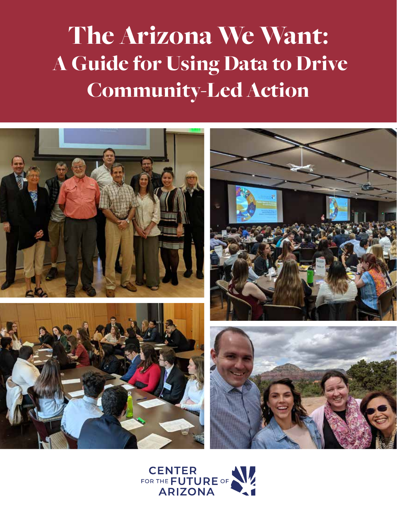# The Arizona We Want: A Guide for Using Data to Drive Community-Led Action



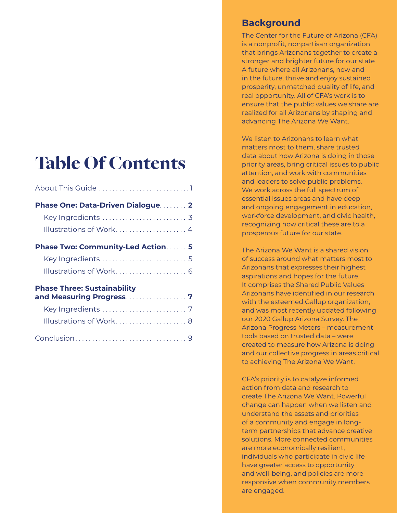## Table Of Contents

| Phase One: Data-Driven Dialogue 2                             |
|---------------------------------------------------------------|
| Key Ingredients  3                                            |
| Illustrations of Work 4                                       |
| <b>Phase Two: Community-Led Action 5</b>                      |
| Key Ingredients  5                                            |
| Illustrations of Work 6                                       |
| <b>Phase Three: Sustainability</b><br>and Measuring Progress7 |
|                                                               |
| Illustrations of Work 8                                       |
|                                                               |

#### **Background**

The Center for the Future of Arizona (CFA) is a nonprofit, nonpartisan organization that brings Arizonans together to create a stronger and brighter future for our state A future where all Arizonans, now and in the future, thrive and enjoy sustained prosperity, unmatched quality of life, and real opportunity. All of CFA's work is to ensure that the public values we share are realized for all Arizonans by shaping and advancing The Arizona We Want.

We listen to Arizonans to learn what matters most to them, share trusted data about how Arizona is doing in those priority areas, bring critical issues to public attention, and work with communities and leaders to solve public problems. We work across the full spectrum of essential issues areas and have deep and ongoing engagement in education, workforce development, and civic health, recognizing how critical these are to a prosperous future for our state.

The Arizona We Want is a shared vision of success around what matters most to Arizonans that expresses their highest aspirations and hopes for the future. It comprises the Shared Public Values Arizonans have identified in our research with the esteemed Gallup organization, and was most recently updated following our 2020 Gallup Arizona Survey. The Arizona Progress Meters – measurement tools based on trusted data – were created to measure how Arizona is doing and our collective progress in areas critical to achieving The Arizona We Want.

CFA's priority is to catalyze informed action from data and research to create The Arizona We Want. Powerful change can happen when we listen and understand the assets and priorities of a community and engage in longterm partnerships that advance creative solutions. More connected communities are more economically resilient, individuals who participate in civic life have greater access to opportunity and well-being, and policies are more responsive when community members are engaged.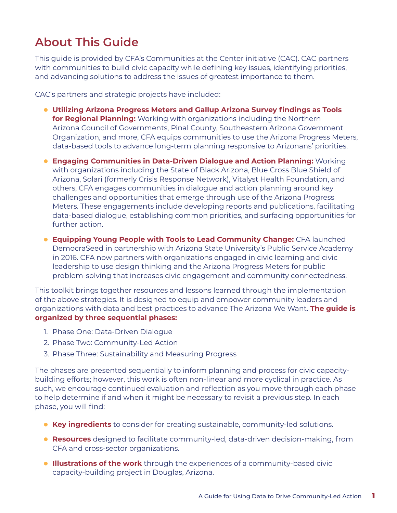### <span id="page-2-0"></span>**About This Guide**

This guide is provided by CFA's Communities at the Center initiative (CAC). CAC partners with communities to build civic capacity while defining key issues, identifying priorities, and advancing solutions to address the issues of greatest importance to them.

CAC's partners and strategic projects have included:

- **Utilizing Arizona Progress Meters and Gallup Arizona Survey findings as Tools for Regional Planning:** Working with organizations including the Northern Arizona Council of Governments, Pinal County, Southeastern Arizona Government Organization, and more, CFA equips communities to use the Arizona Progress Meters, data-based tools to advance long-term planning responsive to Arizonans' priorities.
- **Engaging Communities in Data-Driven Dialogue and Action Planning:** Working with organizations including the State of Black Arizona, Blue Cross Blue Shield of Arizona, Solari (formerly Crisis Response Network), Vitalyst Health Foundation, and others, CFA engages communities in dialogue and action planning around key challenges and opportunities that emerge through use of the Arizona Progress Meters. These engagements include developing reports and publications, facilitating data-based dialogue, establishing common priorities, and surfacing opportunities for further action.
- **Equipping Young People with Tools to Lead Community Change:** CFA launched DemocraSeed in partnership with Arizona State University's Public Service Academy in 2016. CFA now partners with organizations engaged in civic learning and civic leadership to use design thinking and the Arizona Progress Meters for public problem-solving that increases civic engagement and community connectedness.

This toolkit brings together resources and lessons learned through the implementation of the above strategies. It is designed to equip and empower community leaders and organizations with data and best practices to advance The Arizona We Want. **The guide is organized by three sequential phases:**

- 1. Phase One: Data-Driven Dialogue
- 2. Phase Two: Community-Led Action
- 3. Phase Three: Sustainability and Measuring Progress

The phases are presented sequentially to inform planning and process for civic capacitybuilding efforts; however, this work is often non-linear and more cyclical in practice. As such, we encourage continued evaluation and reflection as you move through each phase to help determine if and when it might be necessary to revisit a previous step. In each phase, you will find:

- **Key ingredients** to consider for creating sustainable, community-led solutions.
- **Resources** designed to facilitate community-led, data-driven decision-making, from CFA and cross-sector organizations.
- **Illustrations of the work** through the experiences of a community-based civic capacity-building project in Douglas, Arizona.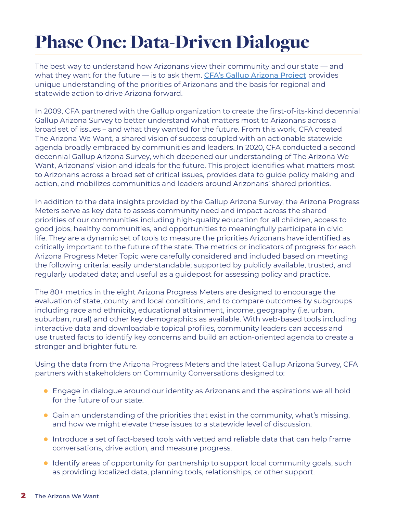## <span id="page-3-0"></span>Phase One: Data-Driven Dialogue

The best way to understand how Arizonans view their community and our state — and what they want for the future — is to ask them. [CFA's Gallup Arizona Project](https://www.arizonafuture.org/the-arizona-we-want/the-gallup-arizona-project/) provides unique understanding of the priorities of Arizonans and the basis for regional and statewide action to drive Arizona forward.

In 2009, CFA partnered with the Gallup organization to create the first-of-its-kind decennial Gallup Arizona Survey to better understand what matters most to Arizonans across a broad set of issues – and what they wanted for the future. From this work, CFA created The Arizona We Want, a shared vision of success coupled with an actionable statewide agenda broadly embraced by communities and leaders. In 2020, CFA conducted a second decennial Gallup Arizona Survey, which deepened our understanding of The Arizona We Want, Arizonans' vision and ideals for the future. This project identifies what matters most to Arizonans across a broad set of critical issues, provides data to guide policy making and action, and mobilizes communities and leaders around Arizonans' shared priorities.

In addition to the data insights provided by the Gallup Arizona Survey, the Arizona Progress Meters serve as key data to assess community need and impact across the shared priorities of our communities including high-quality education for all children, access to good jobs, healthy communities, and opportunities to meaningfully participate in civic life. They are a dynamic set of tools to measure the priorities Arizonans have identified as critically important to the future of the state. The metrics or indicators of progress for each Arizona Progress Meter Topic were carefully considered and included based on meeting the following criteria: easily understandable; supported by publicly available, trusted, and regularly updated data; and useful as a guidepost for assessing policy and practice.

The 80+ metrics in the eight Arizona Progress Meters are designed to encourage the evaluation of state, county, and local conditions, and to compare outcomes by subgroups including race and ethnicity, educational attainment, income, geography (i.e. urban, suburban, rural) and other key demographics as available. With web-based tools including interactive data and downloadable topical profiles, community leaders can access and use trusted facts to identify key concerns and build an action-oriented agenda to create a stronger and brighter future.

Using the data from the Arizona Progress Meters and the latest Gallup Arizona Survey, CFA partners with stakeholders on Community Conversations designed to:

- Engage in dialogue around our identity as Arizonans and the aspirations we all hold for the future of our state.
- Gain an understanding of the priorities that exist in the community, what's missing, and how we might elevate these issues to a statewide level of discussion.
- Introduce a set of fact-based tools with vetted and reliable data that can help frame conversations, drive action, and measure progress.
- Identify areas of opportunity for partnership to support local community goals, such as providing localized data, planning tools, relationships, or other support.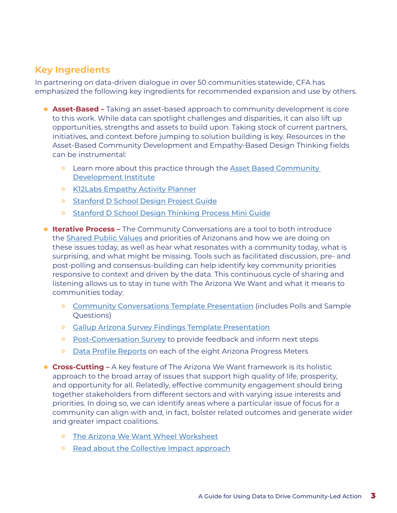#### <span id="page-4-0"></span>**Key Ingredients**

In partnering on data-driven dialogue in over 50 communities statewide, CFA has emphasized the following key ingredients for recommended expansion and use by others.

- **Asset-Based –** Taking an asset-based approach to community development is core to this work. While data can spotlight challenges and disparities, it can also lift up opportunities, strengths and assets to build upon. Taking stock of current partners, initiatives, and context before jumping to solution building is key. Resources in the Asset-Based Community Development and Empathy-Based Design Thinking fields can be instrumental:
	- » Learn more about this practice through the [Asset Based Community](https://resources.depaul.edu/abcd-institute/Pages/default.aspx)  [Development Institute](https://resources.depaul.edu/abcd-institute/Pages/default.aspx)
	- » [K12Labs Empathy Activity Planner](https://www.arizonafuture.org/media/iczowws0/k12-lab-empathy-planner.pdf)
	- » [Stanford D School Design Project Guide](https://www.arizonafuture.org/media/k13bftrk/design-project-guide-sept-2016-v3.pdf)
	- » [Stanford D School Design Thinking Process Mini Guide](https://www.arizonafuture.org/media/yblbpwwu/design-thinking-process-mini-guide.pdf)
- **Iterative Process** The Community Conversations are a tool to both introduce the [Shared Public Values](https://www.arizonafuture.org/the-arizona-we-want/action-agenda-for-arizona-s-future/) and priorities of Arizonans and how we are doing on these issues today, as well as hear what resonates with a community today, what is surprising, and what might be missing. Tools such as facilitated discussion, pre- and post-polling and consensus-building can help identify key community priorities responsive to context and driven by the data. This continuous cycle of sharing and listening allows us to stay in tune with The Arizona We Want and what it means to communities today:
	- » [Community Conversations Template Presentation](https://www.arizonafuture.org/media/vu5n3zwp/community-conversation-presentation.pdf) (includes Polls and Sample Questions)
	- » [Gallup Arizona Survey Findings Template Presentation](https://www.arizonafuture.org/media/iyjbv00z/cfa-gallup-arizona-survey-findings-presentation.pdf)
	- » [Post-Conversation Survey](https://forms.gle/6Qda5mXBXnofhhpLA) to provide feedback and inform next steps
	- » [Data Profile Reports](https://www.arizonafuture.org/progress-meters/) on each of the eight Arizona Progress Meters
- **Cross-Cutting –** A key feature of The Arizona We Want framework is its holistic approach to the broad array of issues that support high quality of life, prosperity, and opportunity for all. Relatedly, effective community engagement should bring together stakeholders from different sectors and with varying issue interests and priorities. In doing so, we can identify areas where a particular issue of focus for a community can align with and, in fact, bolster related outcomes and generate wider and greater impact coalitions.
	- » [The Arizona We Want Wheel Worksheet](https://www.arizonafuture.org/media/w5hjwpax/progress-meters-collaboration-design-worksheet.pdf)
	- » [Read about the Collective Impact approach](https://ssir.org/articles/entry/collective_impact)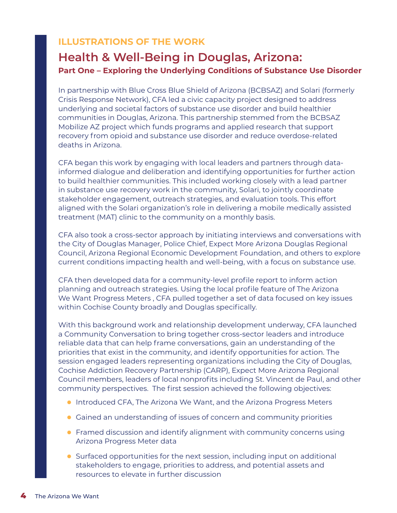#### <span id="page-5-0"></span>**ILLUSTRATIONS OF THE WORK**

#### **Health & Well-Being in Douglas, Arizona: Part One – Exploring the Underlying Conditions of Substance Use Disorder**

In partnership with Blue Cross Blue Shield of Arizona (BCBSAZ) and Solari (formerly Crisis Response Network), CFA led a civic capacity project designed to address underlying and societal factors of substance use disorder and build healthier communities in Douglas, Arizona. This partnership stemmed from the BCBSAZ Mobilize AZ project which funds programs and applied research that support recovery from opioid and substance use disorder and reduce overdose-related deaths in Arizona.

CFA began this work by engaging with local leaders and partners through datainformed dialogue and deliberation and identifying opportunities for further action to build healthier communities. This included working closely with a lead partner in substance use recovery work in the community, Solari, to jointly coordinate stakeholder engagement, outreach strategies, and evaluation tools. This effort aligned with the Solari organization's role in delivering a mobile medically assisted treatment (MAT) clinic to the community on a monthly basis.

CFA also took a cross-sector approach by initiating interviews and conversations with the City of Douglas Manager, Police Chief, Expect More Arizona Douglas Regional Council, Arizona Regional Economic Development Foundation, and others to explore current conditions impacting health and well-being, with a focus on substance use.

CFA then developed data for a community-level profile report to inform action planning and outreach strategies. Using the local profile feature of The Arizona We Want Progress Meters , CFA pulled together a set of data focused on key issues within Cochise County broadly and Douglas specifically.

With this background work and relationship development underway, CFA launched a Community Conversation to bring together cross-sector leaders and introduce reliable data that can help frame conversations, gain an understanding of the priorities that exist in the community, and identify opportunities for action. The session engaged leaders representing organizations including the City of Douglas, Cochise Addiction Recovery Partnership (CARP), Expect More Arizona Regional Council members, leaders of local nonprofits including St. Vincent de Paul, and other community perspectives. The first session achieved the following objectives:

- Introduced CFA, The Arizona We Want, and the Arizona Progress Meters
- Gained an understanding of issues of concern and community priorities
- Framed discussion and identify alignment with community concerns using Arizona Progress Meter data
- Surfaced opportunities for the next session, including input on additional stakeholders to engage, priorities to address, and potential assets and resources to elevate in further discussion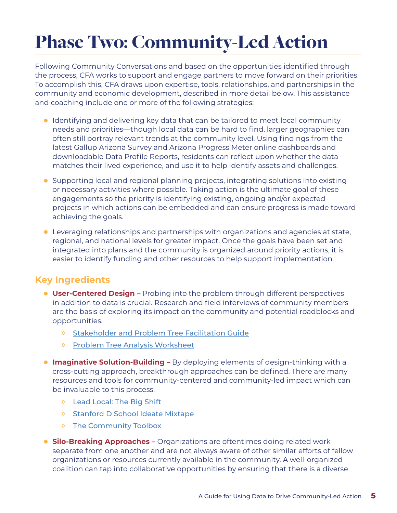## <span id="page-6-0"></span>Phase Two: Community-Led Action

Following Community Conversations and based on the opportunities identified through the process, CFA works to support and engage partners to move forward on their priorities. To accomplish this, CFA draws upon expertise, tools, relationships, and partnerships in the community and economic development, described in more detail below. This assistance and coaching include one or more of the following strategies:

- Identifying and delivering key data that can be tailored to meet local community needs and priorities—though local data can be hard to find, larger geographies can often still portray relevant trends at the community level. Using findings from the latest Gallup Arizona Survey and Arizona Progress Meter online dashboards and downloadable Data Profile Reports, residents can reflect upon whether the data matches their lived experience, and use it to help identify assets and challenges.
- Supporting local and regional planning projects, integrating solutions into existing or necessary activities where possible. Taking action is the ultimate goal of these engagements so the priority is identifying existing, ongoing and/or expected projects in which actions can be embedded and can ensure progress is made toward achieving the goals.
- Leveraging relationships and partnerships with organizations and agencies at state, regional, and national levels for greater impact. Once the goals have been set and integrated into plans and the community is organized around priority actions, it is easier to identify funding and other resources to help support implementation.

#### **Key Ingredients**

- **User-Centered Design –** Probing into the problem through different perspectives in addition to data is crucial. Research and field interviews of community members are the basis of exploring its impact on the community and potential roadblocks and opportunities.
	- » [Stakeholder and Problem Tree Facilitation Guide](https://www.arizonafuture.org/media/t4bcp3mm/stakeholder-and-problem-tree-facilitation-guide.pdf)
	- » [Problem Tree Analysis Worksheet](https://www.arizonafuture.org/media/pzqpeqiw/problem-tree-analysis-worksheet.pdf)
- **Imaginative Solution-Building –** By deploying elements of design-thinking with a cross-cutting approach, breakthrough approaches can be defined. There are many resources and tools for community-centered and community-led impact which can be invaluable to this process.
	- » [Lead Local: The Big Shift](https://leadlocal.global/big-shift/)
	- » [Stanford D School Ideate Mixtape](https://www.arizonafuture.org/media/1w0hu3mp/ideate-mixtape-v8.pdf)
	- » [The Community Toolbox](https://ctb.ku.edu/en)
- **Silo-Breaking Approaches** Organizations are oftentimes doing related work separate from one another and are not always aware of other similar efforts of fellow organizations or resources currently available in the community. A well-organized coalition can tap into collaborative opportunities by ensuring that there is a diverse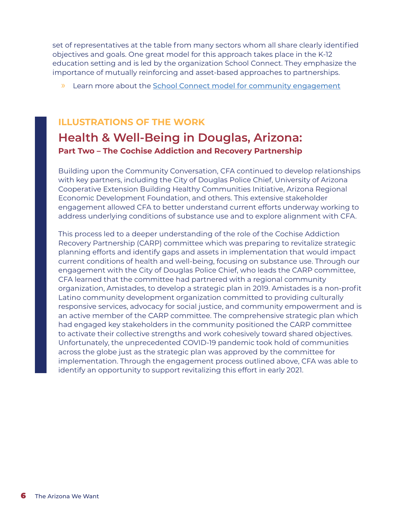<span id="page-7-0"></span>set of representatives at the table from many sectors whom all share clearly identified objectives and goals. One great model for this approach takes place in the K-12 education setting and is led by the organization School Connect. They emphasize the importance of mutually reinforcing and asset-based approaches to partnerships.

» Learn more about the [School Connect model for community engagement](https://www.schoolconnectsa.org)

#### **ILLUSTRATIONS OF THE WORK**

### **Health & Well-Being in Douglas, Arizona: Part Two – The Cochise Addiction and Recovery Partnership**

Building upon the Community Conversation, CFA continued to develop relationships with key partners, including the City of Douglas Police Chief, University of Arizona Cooperative Extension Building Healthy Communities Initiative, Arizona Regional Economic Development Foundation, and others. This extensive stakeholder engagement allowed CFA to better understand current efforts underway working to address underlying conditions of substance use and to explore alignment with CFA.

This process led to a deeper understanding of the role of the Cochise Addiction Recovery Partnership (CARP) committee which was preparing to revitalize strategic planning efforts and identify gaps and assets in implementation that would impact current conditions of health and well-being, focusing on substance use. Through our engagement with the City of Douglas Police Chief, who leads the CARP committee, CFA learned that the committee had partnered with a regional community organization, Amistades, to develop a strategic plan in 2019. Amistades is a non-profit Latino community development organization committed to providing culturally responsive services, advocacy for social justice, and community empowerment and is an active member of the CARP committee. The comprehensive strategic plan which had engaged key stakeholders in the community positioned the CARP committee to activate their collective strengths and work cohesively toward shared objectives. Unfortunately, the unprecedented COVID-19 pandemic took hold of communities across the globe just as the strategic plan was approved by the committee for implementation. Through the engagement process outlined above, CFA was able to identify an opportunity to support revitalizing this effort in early 2021.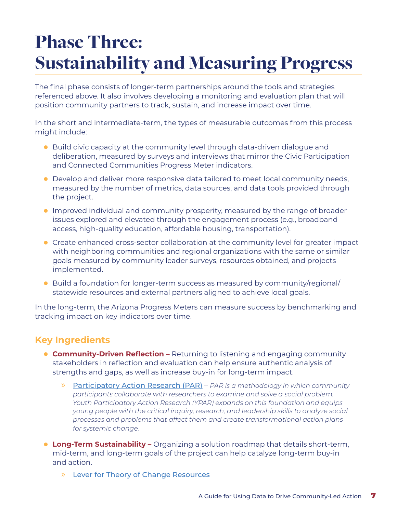## <span id="page-8-0"></span>Phase Three: Sustainability and Measuring Progress

The final phase consists of longer-term partnerships around the tools and strategies referenced above. It also involves developing a monitoring and evaluation plan that will position community partners to track, sustain, and increase impact over time.

In the short and intermediate-term, the types of measurable outcomes from this process might include:

- Build civic capacity at the community level through data-driven dialogue and deliberation, measured by surveys and interviews that mirror the Civic Participation and Connected Communities Progress Meter indicators.
- Develop and deliver more responsive data tailored to meet local community needs, measured by the number of metrics, data sources, and data tools provided through the project.
- Improved individual and community prosperity, measured by the range of broader issues explored and elevated through the engagement process (e.g., broadband access, high-quality education, affordable housing, transportation).
- Create enhanced cross-sector collaboration at the community level for greater impact with neighboring communities and regional organizations with the same or similar goals measured by community leader surveys, resources obtained, and projects implemented.
- Build a foundation for longer-term success as measured by community/regional/ statewide resources and external partners aligned to achieve local goals.

In the long-term, the Arizona Progress Meters can measure success by benchmarking and tracking impact on key indicators over time.

#### **Key Ingredients**

- **Community-Driven Reflection** Returning to listening and engaging community stakeholders in reflection and evaluation can help ensure authentic analysis of strengths and gaps, as well as increase buy-in for long-term impact.
	- » [Participatory Action Research \(PAR\)](http://yparhub.berkeley.edu/get-started-curriculum/) *PAR is a methodology in which community participants collaborate with researchers to examine and solve a social problem. Youth Participatory Action Research (YPAR) expands on this foundation and equips young people with the critical inquiry, research, and leadership skills to analyze social processes and problems that affect them and create transformational action plans for systemic change.*
- **Long-Term Sustainability** Organizing a solution roadmap that details short-term, mid-term, and long-term goals of the project can help catalyze long-term buy-in and action.
	- » [Lever for Theory of Change Resources](https://www.leverforchange.org/library/resource-library/monitoring-evaluation-and-learning/)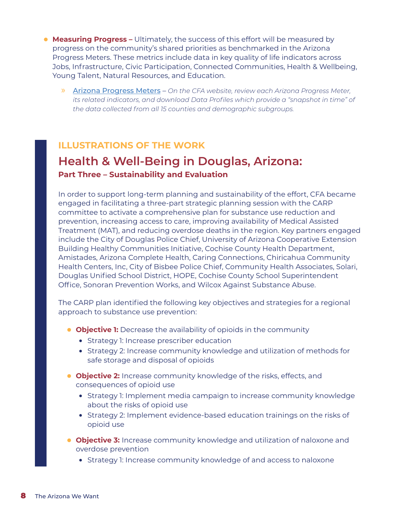- <span id="page-9-0"></span>**• Measuring Progress -** Ultimately, the success of this effort will be measured by progress on the community's shared priorities as benchmarked in the Arizona Progress Meters. These metrics include data in key quality of life indicators across Jobs, Infrastructure, Civic Participation, Connected Communities, Health & Wellbeing, Young Talent, Natural Resources, and Education.
	- » [Arizona Progress Meters](https://www.arizonafuture.org/progress-meters/) *On the CFA website, review each Arizona Progress Meter, its related indicators, and download Data Profiles which provide a "snapshot in time" of the data collected from all 15 counties and demographic subgroups.*

#### **ILLUSTRATIONS OF THE WORK**

### **Health & Well-Being in Douglas, Arizona: Part Three – Sustainability and Evaluation**

In order to support long-term planning and sustainability of the effort, CFA became engaged in facilitating a three-part strategic planning session with the CARP committee to activate a comprehensive plan for substance use reduction and prevention, increasing access to care, improving availability of Medical Assisted Treatment (MAT), and reducing overdose deaths in the region. Key partners engaged include the City of Douglas Police Chief, University of Arizona Cooperative Extension Building Healthy Communities Initiative, Cochise County Health Department, Amistades, Arizona Complete Health, Caring Connections, Chiricahua Community Health Centers, Inc, City of Bisbee Police Chief, Community Health Associates, Solari, Douglas Unified School District, HOPE, Cochise County School Superintendent Office, Sonoran Prevention Works, and Wilcox Against Substance Abuse.

The CARP plan identified the following key objectives and strategies for a regional approach to substance use prevention:

- **Objective 1:** Decrease the availability of opioids in the community
	- **•** Strategy 1: Increase prescriber education
	- **•** Strategy 2: Increase community knowledge and utilization of methods for safe storage and disposal of opioids
- **Objective 2:** Increase community knowledge of the risks, effects, and consequences of opioid use
	- **•** Strategy 1: Implement media campaign to increase community knowledge about the risks of opioid use
	- **•** Strategy 2: Implement evidence-based education trainings on the risks of opioid use
- **Objective 3:** Increase community knowledge and utilization of naloxone and overdose prevention
	- **•** Strategy 1: Increase community knowledge of and access to naloxone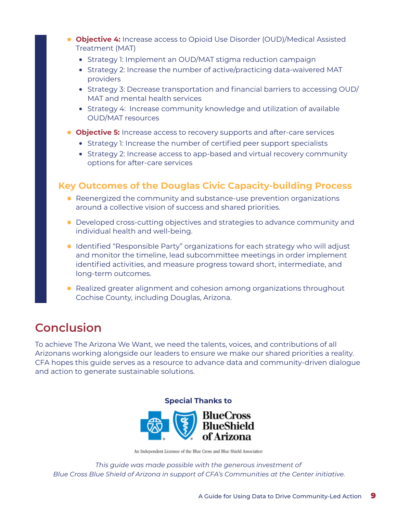- <span id="page-10-0"></span>• **Objective 4:** Increase access to Opioid Use Disorder (OUD)/Medical Assisted Treatment (MAT)
	- **•** Strategy 1: Implement an OUD/MAT stigma reduction campaign
	- **•** Strategy 2: Increase the number of active/practicing data-waivered MAT providers
	- **•** Strategy 3: Decrease transportation and financial barriers to accessing OUD/ MAT and mental health services
	- **•** Strategy 4: Increase community knowledge and utilization of available OUD/MAT resources
- **Objective 5:** Increase access to recovery supports and after-care services
	- **•** Strategy 1: Increase the number of certified peer support specialists
	- **•** Strategy 2: Increase access to app-based and virtual recovery community options for after-care services

#### **Key Outcomes of the Douglas Civic Capacity-building Process**

- Reenergized the community and substance-use prevention organizations around a collective vision of success and shared priorities.
- Developed cross-cutting objectives and strategies to advance community and individual health and well-being.
- Identified "Responsible Party" organizations for each strategy who will adjust and monitor the timeline, lead subcommittee meetings in order implement identified activities, and measure progress toward short, intermediate, and long-term outcomes.
- Realized greater alignment and cohesion among organizations throughout Cochise County, including Douglas, Arizona.

### **Conclusion**

To achieve The Arizona We Want, we need the talents, voices, and contributions of all Arizonans working alongside our leaders to ensure we make our shared priorities a reality. CFA hopes this guide serves as a resource to advance data and community-driven dialogue and action to generate sustainable solutions.



An Independent Licensee of the Blue Cross and Blue Shield Association

*This guide was made possible with the generous investment of Blue Cross Blue Shield of Arizona in support of CFA's Communities at the Center initiative.*